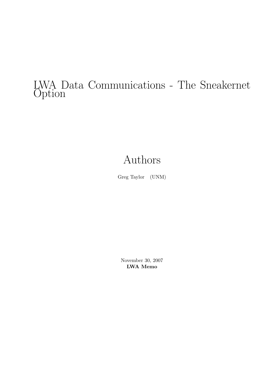# LWA Data Communications - The Sneakernet **Option**

# Authors

Greg Taylor (UNM)

November 30, 2007 LWA Memo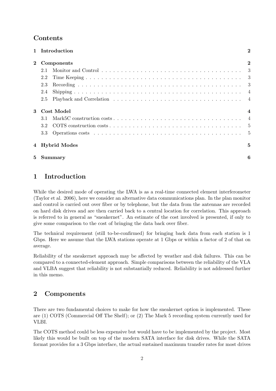# Contents

|              | 1 Introduction    | $\overline{2}$ |
|--------------|-------------------|----------------|
| $\mathbf{2}$ | Components        | $\overline{2}$ |
|              | 2.1               |                |
|              | 2.2               |                |
|              | 2.3               |                |
|              | 2.4               |                |
|              | 2.5               |                |
| 3            | <b>Cost Model</b> | $\overline{4}$ |
|              | 3.1               |                |
|              | 3.2               |                |
|              | 3.3               |                |
|              | 4 Hybrid Modes    | $\overline{5}$ |
| 5            | <b>Summary</b>    | 6              |

# 1 Introduction

While the desired mode of operating the LWA is as a real-time connected element interferometer (Taylor et al. 2006), here we consider an alternative data communications plan. In the plan monitor and control is carried out over fiber or by telephone, but the data from the antennas are recorded on hard disk drives and are then carried back to a central location for correlation. This approach is referred to in general as "sneakernet". An estimate of the cost involved is presented, if only to give some comparison to the cost of bringing the data back over fiber.

The technical requirement (still to-be-confirmed) for bringing back data from each station is 1 Gbps. Here we assume that the LWA stations operate at 1 Gbps or within a factor of 2 of that on average.

Reliability of the sneakernet approach may be affected by weather and disk failures. This can be compared to a connected-element approach. Simple comparisons between the reliability of the VLA and VLBA suggest that reliability is not substantially reduced. Reliability is not addressed further in this memo.

# 2 Components

There are two fundamental choices to make for how the sneakernet option is implemented. These are (1) COTS (Commercial Off The Shelf); or (2) The Mark 5 recording system currently used for VLBI.

The COTS method could be less expensive but would have to be implemented by the project. Most likely this would be built on top of the modern SATA interface for disk drives. While the SATA format provides for a 3 Gbps interface, the actual sustained maximum transfer rates for most drives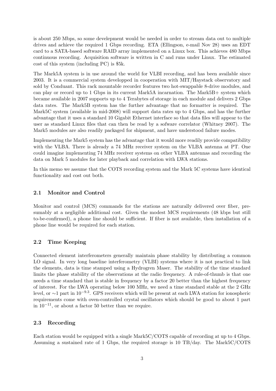is about 250 Mbps, so some develepment would be needed in order to stream data out to multiple drives and achieve the required 1 Gbps recording. ETA (Ellingson, e-mail Nov 28) uses an EDT card to a SATA-based software RAID array implemented on a Linux box. This achieves 480 Mbps continuous recording. Acquisition software is written in C and runs under Linux. The estimated cost of this system (including PC) is \$5k.

The Mark5A system is in use around the world for VLBI recording, and has been available since 2003. It is a commercial system developped in cooperation with MIT/Haystack observatory and sold by Conduant. This rack mountable recorder features two hot-swappable 8-drive modules, and can play or record up to 1 Gbps in its current Mark5A incarnation. The Mark5B+ system which became available in 2007 supports up to 4 Terabytes of storage in each module and delivers 2 Gbps data rates. The Mark5B system has the further advantage that no formatter is required. The Mark5C system (available in mid-2008) will support data rates up to 4 Gbps, and has the further advantage that it uses a standard 10 Gigabit Ethernet interface so that data files will appear to the user as standard Linux files that can then be read by a sofware correlator (Whitney 2007). The Mark5 modules are also readily packaged for shipment, and have understood failure modes.

Implementing the Mark5 system has the advantage that it would more readily provide compatibility with the VLBA. There is already a 74 MHz receiver system on the VLBA antenna at PT. One could imagine implementing 74 MHz receiver systems on other VLBA antennas and recording the data on Mark 5 modules for later playback and correlation with LWA stations.

In this memo we assume that the COTS recording system and the Mark 5C systems have identical functionality and cost out both.

#### 2.1 Monitor and Control

Monitor and control (MCS) commands for the stations are naturally delivered over fiber, presumably at a negligible additional cost. Given the modest MCS requirements (48 kbps but still to-be-confirmed), a phone line should be sufficient. If fiber is not available, then installation of a phone line would be required for each station.

#### 2.2 Time Keeping

Connected element interferometers generally maintain phase stability by distributing a common LO signal. In very long baseline interferometry (VLBI) systems where it is not practical to link the elements, data is time stamped using a Hydrogren Maser. The stability of the time standard limits the phase stability of the observations at the radio frequency. A rule-of-thumb is that one needs a time standard that is stable in frequency by a factor 20 better than the highest frequency of interest. For the LWA operating below 100 MHz, we need a time standard stable at the 2 GHz level, or ~1 part in 10<sup>-9.3</sup>. GPS receivers which will be present at each LWA station for ionospheric requirements come with oven-controlled crystal oscillators which should be good to about 1 part in  $10^{-11}$ , or about a factor 50 better than we require.

#### 2.3 Recording

Each station would be equipped with a single Mark5C/COTS capable of recording at up to 4 Gbps. Assuming a sustained rate of 1 Gbps, the required storage is 10 TB/day. The Mark5C/COTS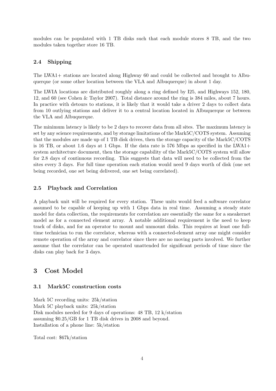modules can be populated with 1 TB disks such that each module stores 8 TB, and the two modules taken together store 16 TB.

#### 2.4 Shipping

The LWA1+ stations are located along Highway 60 and could be collected and brought to Albuquerque (or some other location between the VLA and Albuquerque) in about 1 day.

The LWIA locations are distributed roughly along a ring defined by I25, and Highways 152, 180, 12, and 60 (see Cohen & Taylor 2007). Total distance around the ring is 384 miles, about 7 hours. In practice with detours to stations, it is likely that it would take a driver 2 days to collect data from 10 outlying stations and deliver it to a central location located in Albuquerque or between the VLA and Albuquerque.

The minimum latency is likely to be 2 days to recover data from all sites. The maximum latency is set by any science requirements, and by storage limitations of the Mark5C/COTS system. Assuming that the modules are made up of 1 TB disk drives, then the storage capacity of the Mark5C/COTS is 16 TB, or about 1.6 days at 1 Gbps. If the data rate is 576 Mbps as specified in the LWA1+ system architecture document, then the storage capability of the Mark5C/COTS system will allow for 2.8 days of continuous recording. This suggests that data will need to be collected from the sites every 3 days. For full time operation each station would need 9 days worth of disk (one set being recorded, one set being delivered, one set being correlated).

#### 2.5 Playback and Correlation

A playback unit will be required for every station. These units would feed a software correlator assumed to be capable of keeping up with 1 Gbps data in real time. Assuming a steady state model for data collection, the requirements for correlation are essentially the same for a sneakernet model as for a connected element array. A notable additional requirement is the need to keep track of disks, and for an operator to mount and unmount disks. This requires at least one fulltime technician to run the correlator, whereas with a connected-element array one might consider remote operation of the array and correlator since there are no moving parts involved. We further assume that the correlator can be operated unattended for significant periods of time since the disks can play back for 3 days.

# 3 Cost Model

#### 3.1 Mark5C construction costs

Mark 5C recording units: 25k/station Mark 5C playback units: 25k/station Disk modules needed for 9 days of operations: 48 TB, 12 k/station assuming \$0.25/GB for 1 TB disk drives in 2008 and beyond. Installation of a phone line: 5k/station

Total cost: \$67k/station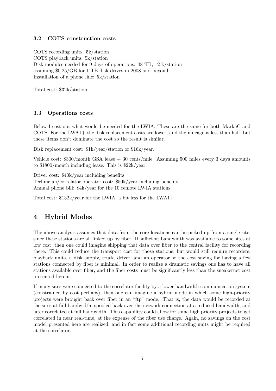#### 3.2 COTS construction costs

COTS recording units: 5k/station COTS playback units: 5k/station Disk modules needed for 9 days of operations: 48 TB, 12 k/station assuming \$0.25/GB for 1 TB disk drives in 2008 and beyond. Installation of a phone line: 5k/station

Total cost: \$32k/station

#### 3.3 Operations costs

Below I cost out what would be needed for the LWIA. These are the same for both Mark5C and COTS. For the LWA1+ the disk replacement costs are lower, and the mileage is less than half, but these items don't dominate the cost so the result is similar.

Disk replacement cost: \$1k/year/station or \$16k/year.

Vehicle cost: \$300/month GSA lease + 30 cents/mile. Assuming 500 miles every 3 days amounts to \$1800/month including lease. This is \$22k/year.

Driver cost: \$40k/year including benefits

Technician/correlator operator cost: \$50k/year including benefits Annual phone bill: \$4k/year for the 10 remote LWIA stations

Total cost: \$132k/year for the LWIA, a bit less for the LWA1+

# 4 Hybrid Modes

The above analysis assumes that data from the core locations can be picked up from a single site, since these stations are all linked up by fiber. If sufficient bandwidth was available to some sites at low cost, then one could imagine shipping that data over fiber to the central facility for recording there. This could reduce the transport cost for those stations, but would still require recorders, playback units, a disk supply, truck, driver, and an operator so the cost saving for having a few stations connected by fiber is minimal. In order to realize a dramatic savings one has to have all stations available over fiber, and the fiber costs must be significantly less than the sneakernet cost presented herein.

If many sites were connected to the correlator facility by a lower bandwidth communication system (constrained by cost perhaps), then one can imagine a hybrid mode in which some high-priority projects were brought back over fiber in an "ftp" mode. That is, the data would be recorded at the sites at full bandwidth, spooled back over the network connection at a reduced bandwidth, and later correlated at full bandwidth. This capability could allow for some high priority projects to get correlated in near real-time, at the expense of the fiber use charge. Again, no savings on the cost model presented here are realized, and in fact some additional recording units might be required at the correlator.